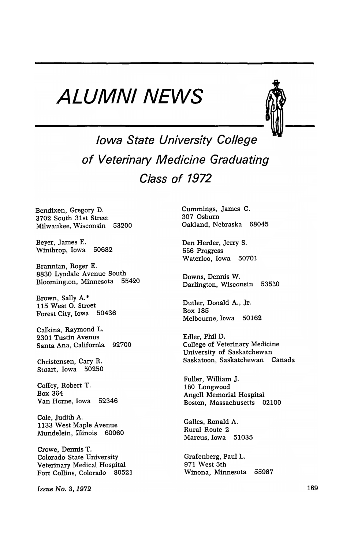## **ALUMNI NEWS**



**Iowa State University College of Veterinary Medicine Graduating Class of 1972** 

Bendixen, Gregory D. 3702 South 31st Street Milwaukee, Wisconsin 53200

Beyer, James E. Winthrop, Iowa 50682

Brannian, Roger E. 8830 Lyndale Avenue South Bloomington, Minnesota 55420

Brown, Sally A.\* 115 West O. Street<br>Forest City, Iowa 50436 Forest City, Iowa

Calkins, Raymond L. 2301 Tustin Avenue Santa Ana, California 92700

Christensen, Cary R. Stuart, Iowa 50250

Coffey, Robert T. Box 364 Van Horne, Iowa 52346

Cole, Judith A. 1133 West Maple Avenue Mundelein, Illinois 60060

Crowe, Dennis T. Colorado State University Veterinary Medical Hospital Fort Collins, Colorado 80521

*Issue No. 8,1972* 

Cummings, James C. 307 Osburn Oakland, Nebraska 68045

Den Herder, Jerry S. 556 Progress Waterloo, Iowa 50701

Downs, Dennis W. Darlington, Wisconsin 53530

Outler, Donald A., Jr. Box 185 Melbourne, Iowa 50162

Edler, Phil D. College of Veterinary Medicine University of Saskatchewan Saskatoon, Saskatchewan Canada

Fuller, William J. 180 Longwood Angell Memorial Hospital Boston, Massachusetts 02100

Galles, Ronald A. Rural Route 2 Marcus, Iowa 51035

Grafenberg, Paul L. 971 West 5th Winona, Minnesota 55987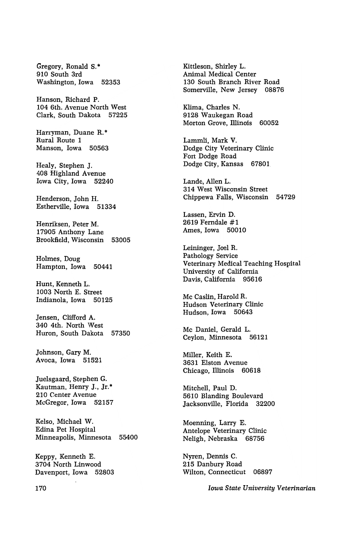Gregory, Ronald S.\* 910 South 3rd Washington, Iowa 52353

Hanson, Richard P. 104 6th. Avenue North West Clark, South Dakota 57225

Harryman, Duane R.\* Rural Route 1 Manson, Iowa 50563

Healy, Stephen J, 408 Highland Avenue Iowa City, Iowa 52240

Henderson, John H. Estherville, Iowa 51334

Henriksen, Peter M. 17905 Anthony Lane Brookfield, Wisconsin 53005

Holmes, Doug Hampton, Iowa 50441

Hunt, Kenneth L. 1003 North E. Street Indianola, Iowa 50125

Jensen, Clifford A. 340 4th. North West Huron, South Dakota 57350

Johnson, Gary M. Avoca, Iowa 51521

Juelsgaard, Stephen G. Kautman, Henry J., Jr.\* 210 Center Avenue McGregor, Iowa 52157

Kelso, Michael W. Edina Pet Hospital Minneapolis, Minnesota 55400

Keppy, Kenneth E. 3704 North Linwood Davenport, Iowa 52803 Kitdeson, Shirley L. Animal Medical Center 130 South Branch River Road Somerville, New Jersey 08876

Klima, Charles N. 9128 Waukegan Road Morton Grove, Illinois 60052

Lammli, Mark V. Dodge City Veterinary Clinic Fort Dodge Road Dodge City, Kansas 67801

Lande, Allen L. 314 West Wisconsin Street Chippewa Falls, Wisconsin 54729

Lassen, Ervin D. 2619 Ferndale #1 Ames, Iowa 50010

Leininger, Joel R. Pathology Service Veterinary Medical Teaching Hospital University of California Davis, California 95616

Mc Caslin, Harold R. Hudson Veterinary Clinic Hudson, Iowa 50643

Mc Daniel, Gerald L. Ceylon, Minnesota 56121

Miller, Keith E. 3631 Elston Avenue Chicago, Illinois 60618

Mitchell, Paul D. 5610 Blanding Boulevard Jacksonville, Florida 32200

Moenning, Larry E. Antelope Veterinary Clinic Neligh, Nebraska 68756

Nyren, Dennis C. 215 Danbury Road Wilton, Connecticut 06897

*Iowa State University Veterinarian* 

170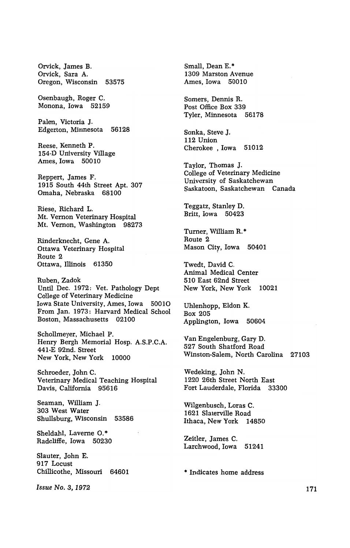Orvick, James B. Orvick, Sara A. Oregon, Wisconsin 53575

Osenbaugh, Roger C. Monona, Iowa 52159

Palen, Victoria J. Edgerton, Minnesota 56128

Reese, Kenneth P. 154-D University Village Ames, Iowa 50010

Reppert, James F. 1915 South 44th Street Apt. 307 Omaha, Nebraska 68100

Riese, Richard L. Mt. Vernon Veterinary Hospital Mt. Vernon, Washington 98273

Rinderknecht, Gene A. Ottawa Veterinary Hospital Route 2 Ottawa, Illinois 61350

Ruben, Zadok Until Dec. 1972: Vet. Pathology Dept College of Veterinary Medicine Iowa State University, Ames, Iowa 50010 From Jan. 1973: Harvard Medical School Boston, Massachusetts 02100

Schollmeyer, Michael P. Henry Bergh Memorial Hosp. A.S.P.C.A. 441-E 92nd. Street New York, New York 10000

Schroeder, John C. Veterinary Medical Teaching Hospital Davis, California 95616

Seaman, William J. 303 West Water Shullsburg, Wisconsin 53586

Sheldahl, Laverne O.\* Radcliffe, Iowa 50230

Slauter, John E. 917 Locust Chillicothe, Missouri 64601

*Issue No.8, 1972* 

Small, Dean E.\* 1309 Marston Avenue Ames, Iowa 50010

Somers, Dennis R. Post Office Box 339 Tyler, Minnesota 56178

Sonka, Steve J. 112 Union Cherokee, Iowa 51012

Taylor, Thomas J. College of Veterinary Medicine University of Saskatchewan Saskatoon, Saskatchewan Canada

Teggatz, Stanley D. Britt, Iowa 50423

Turner, William R.\* Route 2 Mason City, Iowa 50401

Twedt, David C. Animal Medical Center 510 East 62nd Street New York, New York 10021

Uhlenhopp, Eldon K. Box 205 Applington, Iowa 50604

Van Engelenburg, Gary D. 527 South Shatford Road Winston-Salem, North Carolina 27103

Wedeking, John N. 1220 26th Street North East Fort Lauderdale, Florida 33300

Wilgenbusch, Loras C. 1621 Slaterville Road Ithaca, New York 14850

Zeitler, James C. Larchwood, Iowa 51241

\* Indicates home address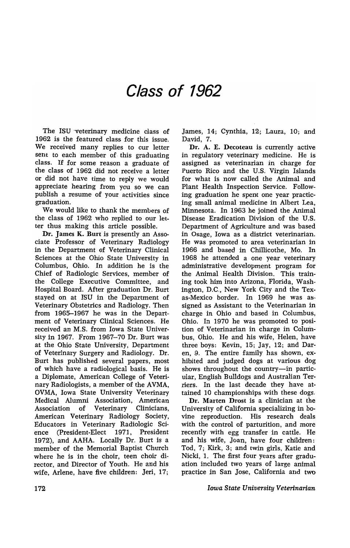## **Class of 1962**

The ISU 'veterinary medicine class of 1962 is the featured class for this issue. We received many replies to our letter sent to each member of· this graduating class. If for some reason a graduate of the class of 1962 did not receive a letter or did not have time to reply we would appreciate hearing from you so we can publish a resume of your activities since graduation.

We would like to thank the members of the class of 1962 who replied to our letter thus making this article possible.

Dr. James K. Burt is presently an Associate Professor of Veterinary Radiology in the Department of Veterinary Clinical Sciences at the Ohio State University in Columbus, Ohio. In addition he is the Chief of Radiologic Services, member of the College Executive Committee, and Hospital Board. After graduation Dr. Burt stayed on at ISU in the Department of Veterinary Obstetrics and Radiology. Then from 1965-1967 he was in the Department of Veterinary Clinical Sciences. He received an M.S. from Iowa State University in 1967. From 1967-70 Dr. Burt was at the Ohio State University, Department of Veterinary Surgery and Radiology. Dr. Burt has published several papers, most of which have a radiological basis. He is a Diplomate, American College of Veterinary Radiologists, a member of the AVMA, OVMA, Iowa State University Veterinary Medical Alumni Association, American Association of Veterinary Clinicians, American Veterinary Radiology Society, Educators in Veterinary Radiologic Science (president-Elect 1971, President 1972), and AAHA. Locally Dr. Burt is a member of the Memorial Baptist Church where he is in the choir, teen choir director, and Director of Youth. He and his wife, Arlene, have five children: Jeri, 17;

James, 14; Cynthia, 12; Laura, 10; and David, 7.

Dr. A. E. Decoteau is currently active in regulatory veterinary medicine. He is assigned as veterinarian in charge for Puerto Rico and the U.S. Virgin Islands for what is now called the Animal and Plant Health Inspection Service. Following graduation he spent one year practicing small animal medicine in Albert Lea, Minnesota. In 1963 he joined the Animal Disease Eradication Division of the U.S. Department of Agriculture and was based in Osage, Iowa as a district veterinarian. He was promoted to area veterinarian in 1966 and based in Chillicothe, Mo. In 1968 he attended a one year veterinary administrative development program for the Animal Health Division. This training took him into Arizona, Florida, Washington, D.C., New York City and the Texas-Mexico border. In 1969 he was assigned as Assistant to the Veterinarian in charge in Ohio and based in Columbus, Ohio. In 1970 he was promoted to position of Veterinarian in charge in Columbus, Ohio. He and his wife, Helen, have three boys: Kevin, 15; Jay, 12; and Daren, 9. The entire family has shown, exhibited and judged dogs at various dog shows throughout the country-in particular, English Bulldogs and Australian Terriers. In the last decade they have attained 10 championships with these dogs.

Dr. Marten Drost is a clinician at the University of California specializing in bovine reproduction. His research deals with the control of parturition, and more recently with egg transfer in cattle. He and his wife, Joan, have four children: Tod, 7; Kirk, 3; and twin girls, Katie and Nicki, 1. The first four years after graduation included two years of large animal practice in San Jose, California and two

*Iowa State University Veterinarian*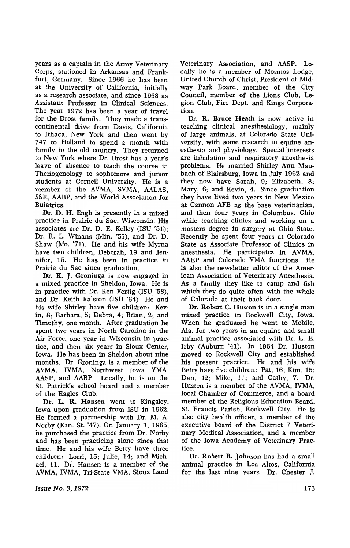years as a captain in the Army Veterinary Corps, stationed in Arkansas and Frankfurt, Germany. Since 1966 he has been at the University of California, initially as a research associate, and since 1968 as Assistant Professor in Clinical Sciences. The year 1972 has been a year of travel for the Drost family. They made a transcontinental drive from Davis, California to Ithaca, New York and then went by 747 to Holland to spend a month with family in the old country. They returned to New York where Dr. Drost has a year's leave of absence to teach the course in Theriogenology to sophomore and junior students at Cornell University. He is a member of the AVMA, SVMA, AALAS, SSR, AABP, and the World Association for Buiatrics.

Dr. D. H. Engh is presently in a mixed practice in Prairie du Sac, Wisconsin. His associates are Dr. D. E. Kelley  $(ISU'51);$ Dr. R. L. Winans (Min. '55), and Dr. D. Shaw (Mo. '71). He and his wife Myrna have two children, Deborah, 19 and Jennifer, 15. He has been in practice in Prairie du Sac since graduation.

Dr. K. J. Groninga is now engaged in a mixed practice in Sheldon, Iowa. He is in practice with Dr. Ken Fertig (ISU '58), and Dr. Keith Ralston (ISU '64). He and his wife Shirley have five children: Kevin, 8; Barbara, 5; Debra, 4; Brian, 2; and Timothy, one month. After graduation he spent two years in North Carolina in the Air Force, one year in Wisconsin in practice, and then six years in Sioux Center, Iowa. He has been in Sheldon about nine months. Dr. Groninga is a member of the AVMA, IVMA, Northwest Iowa VMA, AASP, and AABP. Locally, he is on the st. Patrick's school board and a member of the Eagles Club.

Dr. L. R. Hansen went to Kingsley, Iowa upon graduation from ISU in 1962. He fonned a partnership with Dr. M. A. Norby (Kan. St. '47). On January 1, 1965, ne purchased the practice from Dr. Norby and has been practicing alone since that time. He and his wife Betty have three children: Lorri, 15; Julie, 14; and Michael, 11. Dr. Hansen is a member of the AVMA, IVMA, Tri-State VMA, Sioux Land

*Issue No.3, 1972* 

Veterinary Association, and AASP. Locally he is a member of Mosmos Lodge, United Church of Christ, President of Midway Park Board, member of the City Council, member of the Lions Club, Legion Club, Fire Dept. and Kings Corporation.

Dr. R. Bruce Heath is now active in teaching clinical anesthesiology, mainly of large animals, at Colorado State University, with some research in equine anesthesia and physiology. Special interests are inhalation and respiratory anesthesia problems. He married Shirley Ann Maubach of Blairsburg, Iowa in July 1962 and they now have Sarah, 9; Elizabeth, 8; Mary, 6; and Kevin, 4. Since graduation they have lived two years in New Mexico at Cannon AFB as the base veterinarian, and then four years in Columbus, Ohio while teaching clinics and working on a masters degree in surgery at Ohio State. Recently he spent four years at Colorado State as Associate Professor of Clinics in anesthesia. He participates in AVMA, AAEP and Colorado VMA functions. He is also the newsletter editor of the American Association of Veterinary Anesthesia. As a family they like to camp and fish which they do quite often with the whole of Colorado at their back door.

Dr. Robert C. Huston is in a single man mixed practice in Rockwell City, Iowa. When he graduated he went to Mobile, Ala. for two years in an equine and small animal practice associated with Dr. L. E. Irby (Auburn '41). In 1964 Dr. Huston moved to Rockwell City and established his present practice. He and his wife Betty have five children: Pat, 16; Kim, 15; Dan, 12; Mike, 11; and Cathy, 7. Dr. Huston is a member of the AVMA, IVMA, local Chamber of Commerce, and a board member of the Religious Education Board, St. Francis Parish, Rockwell City. He is also city health officer, a member of the executive board of the District 7 Veterinary Medical Association, and a member of the Iowa Academy of Veterinary Practice.

Dr. Robert B. Johnson has had a small animal practice in Los Altos, California for the last nine years. Dr. Chester J.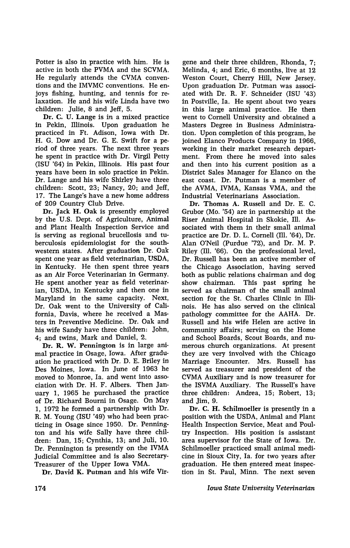Potter is also in practice with him. He is active in both the PVMA and the SCVMA. He regularly attends the CVMA conventions and the IMVMC conventions. He enjoys fishing, hunting, and tennis for relaxation. He and his wife Linda have two children: Julie, 8 and Jeff, 5.

Dr. C. U. Lange is in a mixed practice in Pekin, TIlinois. Upon graduation he practiced in Ft. Adison, Iowa with Dr. H. G. Dow and Dr. G. E. Swift for a period of three years. The next three years he spent in practice with Dr. Virgil Petty (ISU '64) in Pekin, Illinois. His past four years have been in solo practice in Pekin. Dr. Lange and his wife Shirley have three children: Scott, 23; Nancy, 20; and Jeff, 17. The Lange's have a new home address of 209 Country Club Drive.

Dr. Jack H. Oak is presently employed by the U.S. Dept. of Agriculture, Animal and Plant Health Inspection Service and is serving as regional brucellosis and tuberculosis epidemiologist for the southwestern states. After graduation Dr. Oak spent one year as field veterinarian, USDA, in Kentucky. He then spent three years as an Air Force Veterinarian in Germany. He spent another year as field veterinarian, USDA, in Kentucky and then one in Maryland in the same capacity. Next, Dr. Oak went to the University of California, Davis, where he received a Mas· ters in Preventive Medicine. Dr. Oak and his wife Sandy have three children: John, 4; and twins, Mark and Daniel, 2.

Dr. R. W. Pennington is in large animal practice in Osage, Iowa. After graduation he practiced with Dr. D. E. Briley in Des Moines, Iowa. In June of 1963 he moved to Monroe, Ia. and went into association with Dr. H. F. Albers. Then January 1, 1965 he purchased the practice of Dr. Richard Bourni in Osage. On May 1, 1972 he formed a partnership with Dr. R. M. Young (ISU '49) who had been practicing in Osage since 1950. Dr. Pennington and his wife Sally have three children: Dan, 15; Cynthia, 13; and Juli, 10. Dr. Pennington is presently on the IVMA Judicial Committee and is also Secretary-Treasurer of the Upper Iowa VMA.

Dr. David K. Putman and his wife Vir-

gene and their three children, Rhonda, 7; Melinda, 4; and Eric, 6 months, live at 12 Weston Court, Cherry Hill, New Jersey. Upon graduation Dr. Putman was associated with Dr. R. F. Schneider (ISU '43) in Postville, Ia. He spent about two years in this large animal practice. He then went to Cornell University and obtained a Masters Degree in Business Administration. Upon completion of this program, he joined Elanco Products Company in 1966, working in their market research department. From there he moved into sales and then into his current position as a District Sales Manager for Elanco on the east coast. Dr. Putman is a member of the AVMA, IVMA, Kansas VMA, and the Industrial Veterinarians Association.

Dr. Thomas A. Russell and Dr. E. C. Grubor (Mo. '54) are in partnership at the Riser Animal Hospital in Skokie, TIl. Associated with them in their small animal practice are Dr. D. L. Cornell (TIl. '64), Dr. Alan O'Neil (Purdue '72), and Dr. M. P. Riley (TIl. '66). On the professional level, Dr. Russell has been an active member of the Chicago Association, having served both as public relations chairman and dog show chairman. This past spring he served as chairman of the small animal section for the St. Charles Clinic in Illinois. He has also served on the clinical pathology committee for the AAHA. Dr. Russell and his wife Helen are active in community affairs; serving on the Home and School Boards, Scout Boards, and numerous church organizations. At present they are very involved with the Chicago Marriage Encounter. Mrs. Russell has served as treasurer and president of the CVMA Auxiliary 'and is now treasurer for the ISVMA Auxiliary. The Russell's have three children: Andrea, 15; Robert, 13; and Jim, 9.

Dr. C. H. Schilmoeller is presently in a position with the USDA, Animal and Plant Health Inspection Service, Meat and Poultry Inspection. His position is assistant area supervisor for the State of Iowa. Dr. Schilmoeller practiced small animal medicine in Sioux City, Ia. for two years after graduation. He then entered meat inspection in St. Paul, Minn. The next seven

## *Iawa State University Veterinarian*